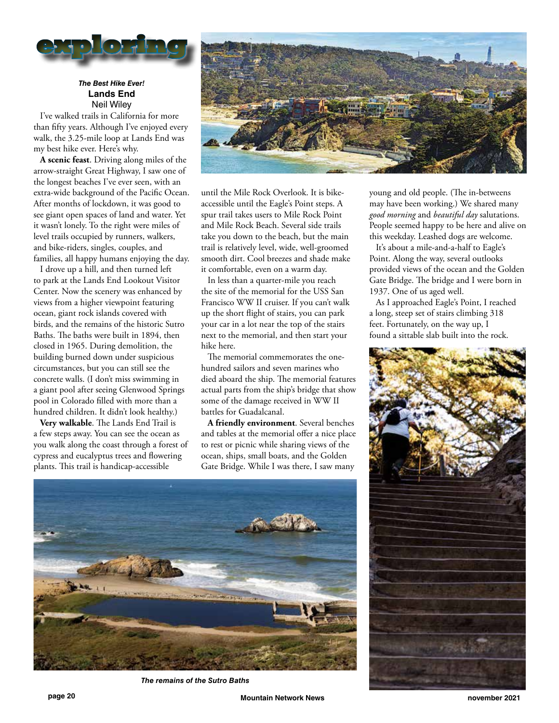

## *The Best Hike Ever!* **Lands End** Neil Wiley

I've walked trails in California for more than fifty years. Although I've enjoyed every walk, the 3.25-mile loop at Lands End was my best hike ever. Here's why.

**A scenic feast**. Driving along miles of the arrow-straight Great Highway, I saw one of the longest beaches I've ever seen, with an extra-wide background of the Pacific Ocean. After months of lockdown, it was good to see giant open spaces of land and water. Yet it wasn't lonely. To the right were miles of level trails occupied by runners, walkers, and bike-riders, singles, couples, and families, all happy humans enjoying the day.

I drove up a hill, and then turned left to park at the Lands End Lookout Visitor Center. Now the scenery was enhanced by views from a higher viewpoint featuring ocean, giant rock islands covered with birds, and the remains of the historic Sutro Baths. The baths were built in 1894, then closed in 1965. During demolition, the building burned down under suspicious circumstances, but you can still see the concrete walls. (I don't miss swimming in a giant pool after seeing Glenwood Springs pool in Colorado filled with more than a hundred children. It didn't look healthy.)

**Very walkable**. The Lands End Trail is a few steps away. You can see the ocean as you walk along the coast through a forest of cypress and eucalyptus trees and flowering plants. This trail is handicap-accessible



until the Mile Rock Overlook. It is bikeaccessible until the Eagle's Point steps. A spur trail takes users to Mile Rock Point and Mile Rock Beach. Several side trails take you down to the beach, but the main trail is relatively level, wide, well-groomed smooth dirt. Cool breezes and shade make it comfortable, even on a warm day.

In less than a quarter-mile you reach the site of the memorial for the USS San Francisco WW II cruiser. If you can't walk up the short flight of stairs, you can park your car in a lot near the top of the stairs next to the memorial, and then start your hike here.

The memorial commemorates the onehundred sailors and seven marines who died aboard the ship. The memorial features actual parts from the ship's bridge that show some of the damage received in WW II battles for Guadalcanal.

**A friendly environment**. Several benches and tables at the memorial offer a nice place to rest or picnic while sharing views of the ocean, ships, small boats, and the Golden Gate Bridge. While I was there, I saw many



*The remains of the Sutro Baths*

young and old people. (The in-betweens may have been working.) We shared many *good morning* and *beautiful day* salutations. People seemed happy to be here and alive on this weekday. Leashed dogs are welcome.

It's about a mile-and-a-half to Eagle's Point. Along the way, several outlooks provided views of the ocean and the Golden Gate Bridge. The bridge and I were born in 1937. One of us aged well.

As I approached Eagle's Point, I reached a long, steep set of stairs climbing 318 feet. Fortunately, on the way up, I found a sittable slab built into the rock.